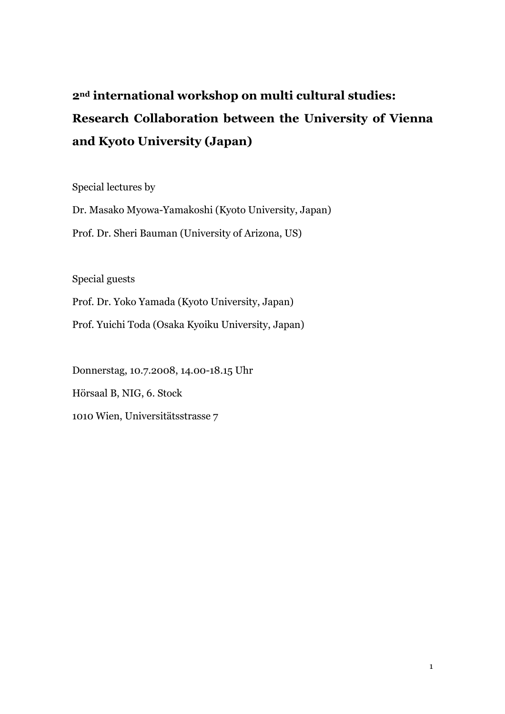# 2nd international workshop on multi cultural studies: Research Collaboration between the University of Vienna and Kyoto University (Japan)

Special lectures by

Dr. Masako Myowa-Yamakoshi (Kyoto University, Japan) Prof. Dr. Sheri Bauman (University of Arizona, US)

Special guests

Prof. Dr. Yoko Yamada (Kyoto University, Japan)

Prof. Yuichi Toda (Osaka Kyoiku University, Japan)

Donnerstag, 10.7.2008, 14.00-18.15 Uhr Hörsaal B, NIG, 6. Stock 1010 Wien, Universitätsstrasse 7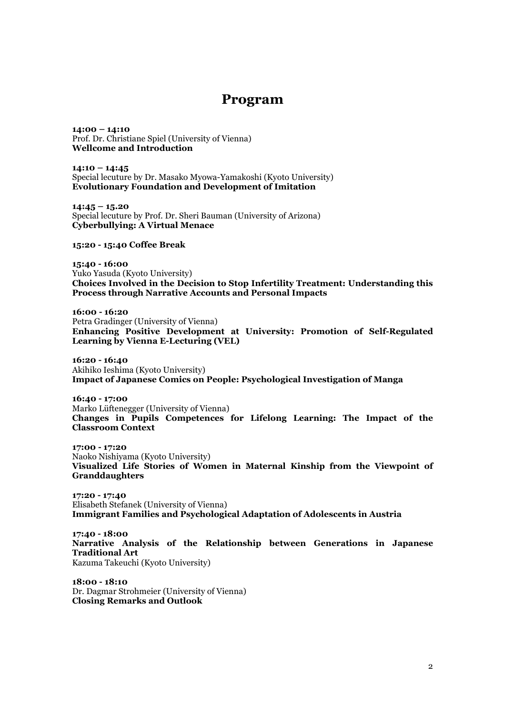## Program

14:00 – 14:10 Prof. Dr. Christiane Spiel (University of Vienna) Wellcome and Introduction

 $14:10 - 14:45$ Special lecuture by Dr. Masako Myowa-Yamakoshi (Kyoto University) Evolutionary Foundation and Development of Imitation

 $14:45 - 15.20$ Special lecuture by Prof. Dr. Sheri Bauman (University of Arizona) Cyberbullying: A Virtual Menace

15:20 - 15:40 Coffee Break

15:40 - 16:00 Yuko Yasuda (Kyoto University) Choices Involved in the Decision to Stop Infertility Treatment: Understanding this Process through Narrative Accounts and Personal Impacts

16:00 - 16:20 Petra Gradinger (University of Vienna) Enhancing Positive Development at University: Promotion of Self-Regulated Learning by Vienna E-Lecturing (VEL)

16:20 - 16:40 Akihiko Ieshima (Kyoto University) Impact of Japanese Comics on People: Psychological Investigation of Manga

16:40 - 17:00 Marko Lüftenegger (University of Vienna) Changes in Pupils Competences for Lifelong Learning: The Impact of the Classroom Context

17:00 - 17:20 Naoko Nishiyama (Kyoto University) Visualized Life Stories of Women in Maternal Kinship from the Viewpoint of Granddaughters

17:20 - 17:40 Elisabeth Stefanek (University of Vienna) Immigrant Families and Psychological Adaptation of Adolescents in Austria

17:40 - 18:00 Narrative Analysis of the Relationship between Generations in Japanese Traditional Art Kazuma Takeuchi (Kyoto University)

18:00 - 18:10 Dr. Dagmar Strohmeier (University of Vienna) Closing Remarks and Outlook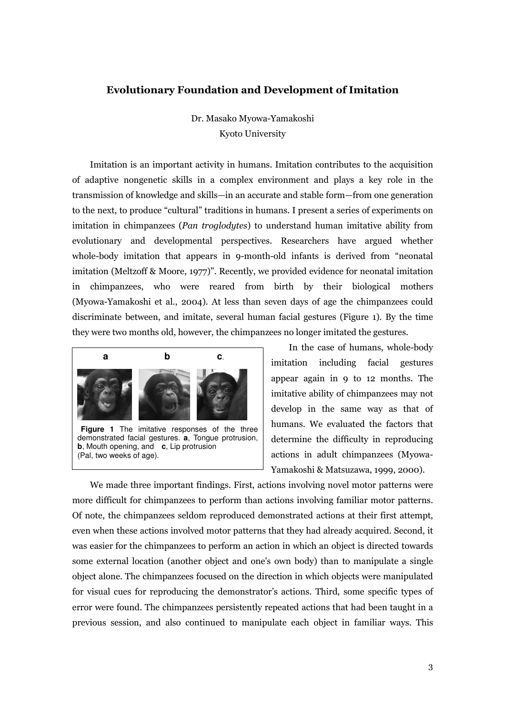#### Evolutionary Foundation and Development of Imitation

Dr. Masako Myowa-Yamakoshi Kyoto University

Imitation is an important activity in humans. Imitation contributes to the acquisition of adaptive nongenetic skills in a complex environment and plays a key role in the transmission of knowledge and skills—in an accurate and stable form—from one generation to the next, to produce "cultural" traditions in humans. I present a series of experiments on imitation in chimpanzees (*Pan troglodytes*) to understand human imitative ability from evolutionary and developmental perspectives. Researchers have argued whether whole-body imitation that appears in 9-month-old infants is derived from "neonatal imitation (Meltzoff & Moore, 1977)". Recently, we provided evidence for neonatal imitation in chimpanzees, who were reared from birth by their biological mothers (Myowa-Yamakoshi et al., 2004). At less than seven days of age the chimpanzees could discriminate between, and imitate, several human facial gestures (Figure 1). By the time they were two months old, however, the chimpanzees no longer imitated the gestures.



In the case of humans, whole-body imitation including facial gestures appear again in 9 to 12 months. The imitative ability of chimpanzees may not develop in the same way as that of humans. We evaluated the factors that determine the difficulty in reproducing actions in adult chimpanzees (Myowa-Yamakoshi & Matsuzawa, 1999, 2000).

We made three important findings. First, actions involving novel motor patterns were more difficult for chimpanzees to perform than actions involving familiar motor patterns. Of note, the chimpanzees seldom reproduced demonstrated actions at their first attempt, even when these actions involved motor patterns that they had already acquired. Second, it was easier for the chimpanzees to perform an action in which an object is directed towards some external location (another object and one's own body) than to manipulate a single object alone. The chimpanzees focused on the direction in which objects were manipulated for visual cues for reproducing the demonstrator's actions. Third, some specific types of error were found. The chimpanzees persistently repeated actions that had been taught in a previous session, and also continued to manipulate each object in familiar ways. This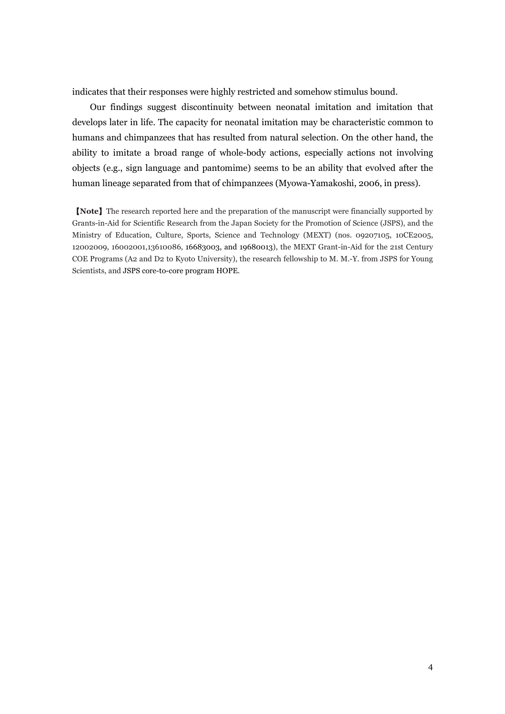indicates that their responses were highly restricted and somehow stimulus bound.

Our findings suggest discontinuity between neonatal imitation and imitation that develops later in life. The capacity for neonatal imitation may be characteristic common to humans and chimpanzees that has resulted from natural selection. On the other hand, the ability to imitate a broad range of whole-body actions, especially actions not involving objects (e.g., sign language and pantomime) seems to be an ability that evolved after the human lineage separated from that of chimpanzees (Myowa-Yamakoshi, 2006, in press).

【Note】The research reported here and the preparation of the manuscript were financially supported by Grants-in-Aid for Scientific Research from the Japan Society for the Promotion of Science (JSPS), and the Ministry of Education, Culture, Sports, Science and Technology (MEXT) (nos. 09207105, 10CE2005, 12002009, 16002001,13610086, 16683003, and 19680013), the MEXT Grant-in-Aid for the 21st Century COE Programs (A2 and D2 to Kyoto University), the research fellowship to M. M.-Y. from JSPS for Young Scientists, and JSPS core-to-core program HOPE.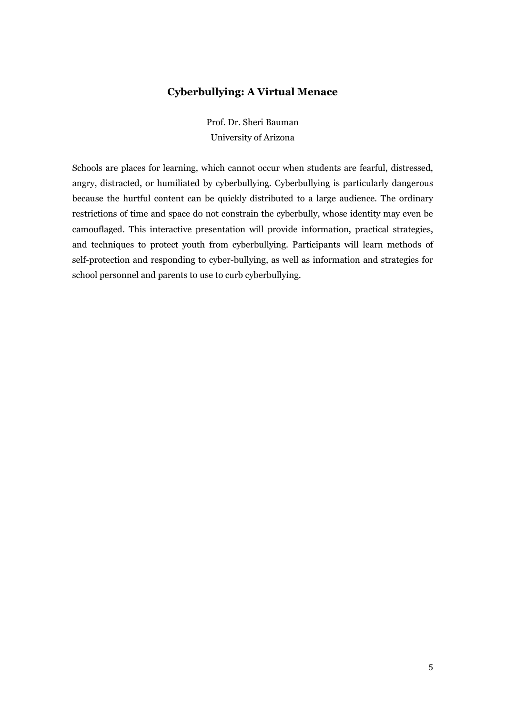## Cyberbullying: A Virtual Menace

Prof. Dr. Sheri Bauman University of Arizona

Schools are places for learning, which cannot occur when students are fearful, distressed, angry, distracted, or humiliated by cyberbullying. Cyberbullying is particularly dangerous because the hurtful content can be quickly distributed to a large audience. The ordinary restrictions of time and space do not constrain the cyberbully, whose identity may even be camouflaged. This interactive presentation will provide information, practical strategies, and techniques to protect youth from cyberbullying. Participants will learn methods of self-protection and responding to cyber-bullying, as well as information and strategies for school personnel and parents to use to curb cyberbullying.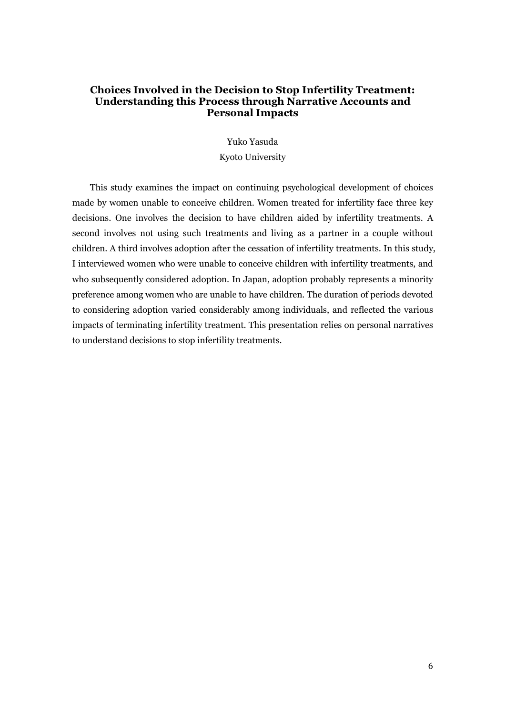#### Choices Involved in the Decision to Stop Infertility Treatment: Understanding this Process through Narrative Accounts and Personal Impacts

Yuko Yasuda

Kyoto University

This study examines the impact on continuing psychological development of choices made by women unable to conceive children. Women treated for infertility face three key decisions. One involves the decision to have children aided by infertility treatments. A second involves not using such treatments and living as a partner in a couple without children. A third involves adoption after the cessation of infertility treatments. In this study, I interviewed women who were unable to conceive children with infertility treatments, and who subsequently considered adoption. In Japan, adoption probably represents a minority preference among women who are unable to have children. The duration of periods devoted to considering adoption varied considerably among individuals, and reflected the various impacts of terminating infertility treatment. This presentation relies on personal narratives to understand decisions to stop infertility treatments.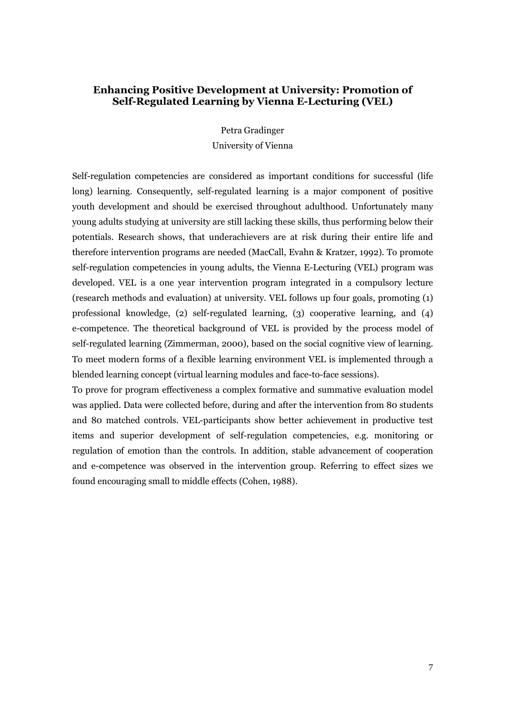#### Enhancing Positive Development at University: Promotion of Self-Regulated Learning by Vienna E-Lecturing (VEL)

Petra Gradinger University of Vienna

Self-regulation competencies are considered as important conditions for successful (life long) learning. Consequently, self-regulated learning is a major component of positive youth development and should be exercised throughout adulthood. Unfortunately many young adults studying at university are still lacking these skills, thus performing below their potentials. Research shows, that underachievers are at risk during their entire life and therefore intervention programs are needed (MacCall, Evahn & Kratzer, 1992). To promote self-regulation competencies in young adults, the Vienna E-Lecturing (VEL) program was developed. VEL is a one year intervention program integrated in a compulsory lecture (research methods and evaluation) at university. VEL follows up four goals, promoting (1) professional knowledge, (2) self-regulated learning, (3) cooperative learning, and (4) e-competence. The theoretical background of VEL is provided by the process model of self-regulated learning (Zimmerman, 2000), based on the social cognitive view of learning. To meet modern forms of a flexible learning environment VEL is implemented through a blended learning concept (virtual learning modules and face-to-face sessions).

To prove for program effectiveness a complex formative and summative evaluation model was applied. Data were collected before, during and after the intervention from 80 students and 80 matched controls. VEL-participants show better achievement in productive test items and superior development of self-regulation competencies, e.g. monitoring or regulation of emotion than the controls. In addition, stable advancement of cooperation and e-competence was observed in the intervention group. Referring to effect sizes we found encouraging small to middle effects (Cohen, 1988).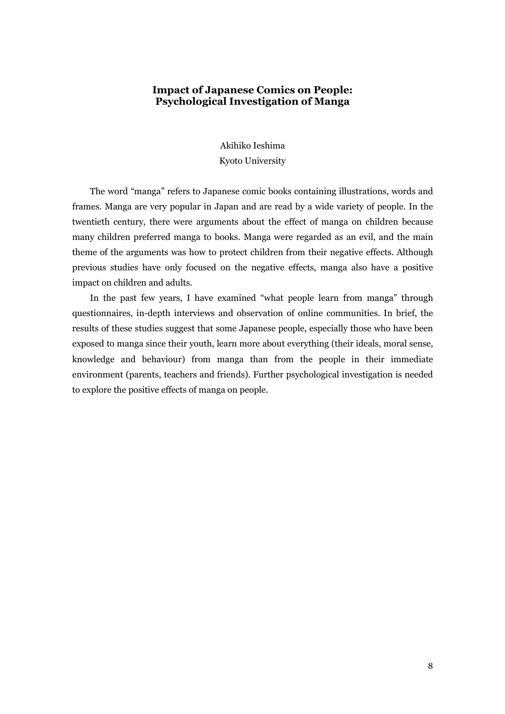#### Impact of Japanese Comics on People: Psychological Investigation of Manga

Akihiko Ieshima

Kyoto University

The word "manga" refers to Japanese comic books containing illustrations, words and frames. Manga are very popular in Japan and are read by a wide variety of people. In the twentieth century, there were arguments about the effect of manga on children because many children preferred manga to books. Manga were regarded as an evil, and the main theme of the arguments was how to protect children from their negative effects. Although previous studies have only focused on the negative effects, manga also have a positive impact on children and adults.

In the past few years, I have examined "what people learn from manga" through questionnaires, in-depth interviews and observation of online communities. In brief, the results of these studies suggest that some Japanese people, especially those who have been exposed to manga since their youth, learn more about everything (their ideals, moral sense, knowledge and behaviour) from manga than from the people in their immediate environment (parents, teachers and friends). Further psychological investigation is needed to explore the positive effects of manga on people.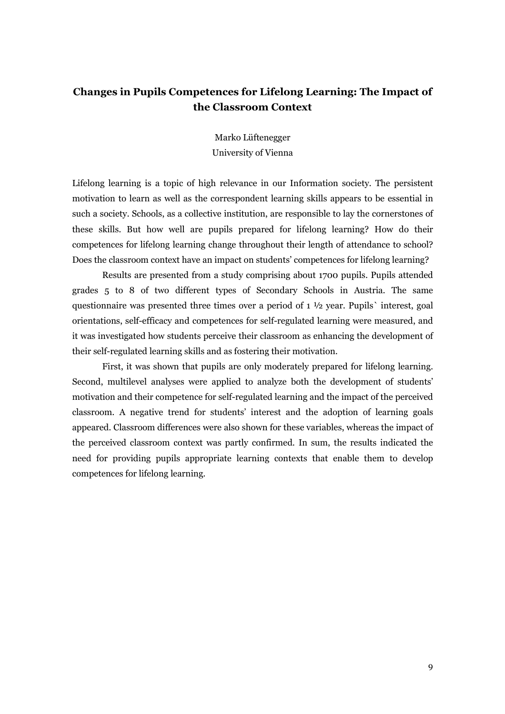## Changes in Pupils Competences for Lifelong Learning: The Impact of the Classroom Context

Marko Lüftenegger University of Vienna

Lifelong learning is a topic of high relevance in our Information society. The persistent motivation to learn as well as the correspondent learning skills appears to be essential in such a society. Schools, as a collective institution, are responsible to lay the cornerstones of these skills. But how well are pupils prepared for lifelong learning? How do their competences for lifelong learning change throughout their length of attendance to school? Does the classroom context have an impact on students' competences for lifelong learning?

Results are presented from a study comprising about 1700 pupils. Pupils attended grades 5 to 8 of two different types of Secondary Schools in Austria. The same questionnaire was presented three times over a period of 1 ½ year. Pupils` interest, goal orientations, self-efficacy and competences for self-regulated learning were measured, and it was investigated how students perceive their classroom as enhancing the development of their self-regulated learning skills and as fostering their motivation.

First, it was shown that pupils are only moderately prepared for lifelong learning. Second, multilevel analyses were applied to analyze both the development of students' motivation and their competence for self-regulated learning and the impact of the perceived classroom. A negative trend for students' interest and the adoption of learning goals appeared. Classroom differences were also shown for these variables, whereas the impact of the perceived classroom context was partly confirmed. In sum, the results indicated the need for providing pupils appropriate learning contexts that enable them to develop competences for lifelong learning.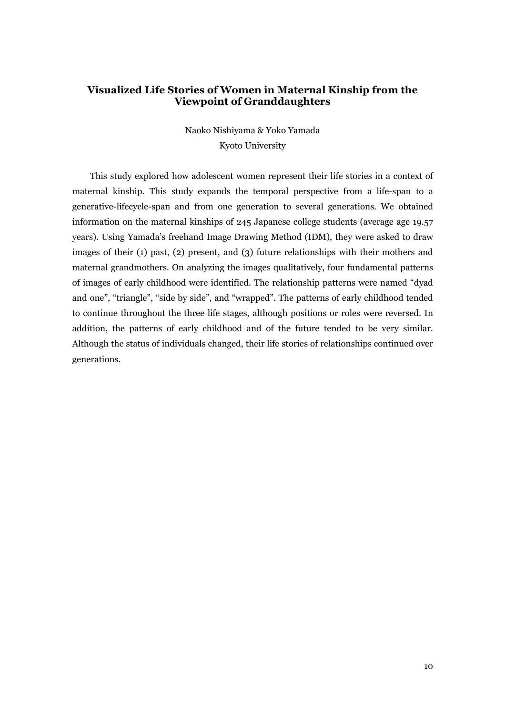### Visualized Life Stories of Women in Maternal Kinship from the Viewpoint of Granddaughters

Naoko Nishiyama & Yoko Yamada Kyoto University

This study explored how adolescent women represent their life stories in a context of maternal kinship. This study expands the temporal perspective from a life-span to a generative-lifecycle-span and from one generation to several generations. We obtained information on the maternal kinships of 245 Japanese college students (average age 19.57 years). Using Yamada's freehand Image Drawing Method (IDM), they were asked to draw images of their (1) past, (2) present, and (3) future relationships with their mothers and maternal grandmothers. On analyzing the images qualitatively, four fundamental patterns of images of early childhood were identified. The relationship patterns were named "dyad and one", "triangle", "side by side", and "wrapped". The patterns of early childhood tended to continue throughout the three life stages, although positions or roles were reversed. In addition, the patterns of early childhood and of the future tended to be very similar. Although the status of individuals changed, their life stories of relationships continued over generations.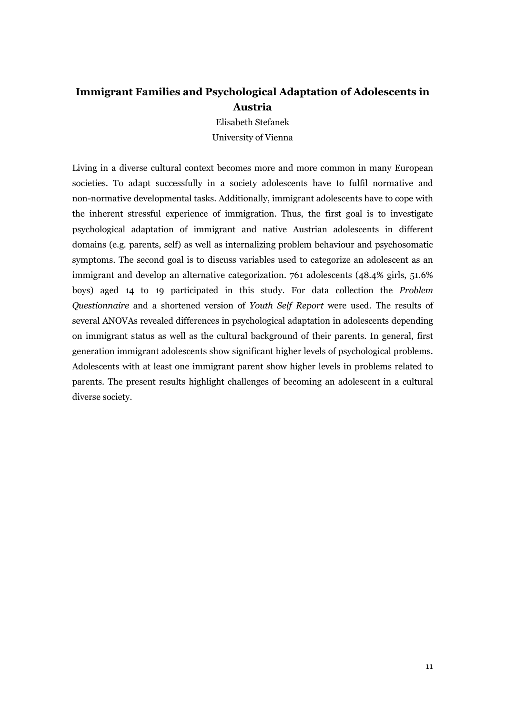## Immigrant Families and Psychological Adaptation of Adolescents in Austria

Elisabeth Stefanek University of Vienna

Living in a diverse cultural context becomes more and more common in many European societies. To adapt successfully in a society adolescents have to fulfil normative and non-normative developmental tasks. Additionally, immigrant adolescents have to cope with the inherent stressful experience of immigration. Thus, the first goal is to investigate psychological adaptation of immigrant and native Austrian adolescents in different domains (e.g. parents, self) as well as internalizing problem behaviour and psychosomatic symptoms. The second goal is to discuss variables used to categorize an adolescent as an immigrant and develop an alternative categorization. 761 adolescents (48.4% girls, 51.6% boys) aged 14 to 19 participated in this study. For data collection the Problem Questionnaire and a shortened version of Youth Self Report were used. The results of several ANOVAs revealed differences in psychological adaptation in adolescents depending on immigrant status as well as the cultural background of their parents. In general, first generation immigrant adolescents show significant higher levels of psychological problems. Adolescents with at least one immigrant parent show higher levels in problems related to parents. The present results highlight challenges of becoming an adolescent in a cultural diverse society.